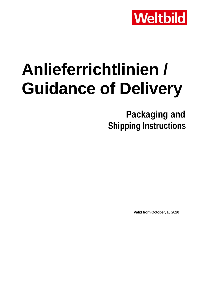

# **Anlieferrichtlinien / Guidance of Delivery**

**Packaging and Shipping Instructions**

**Valid from October, 10 2020**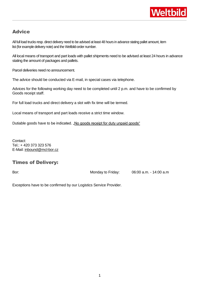

# Advice

All full load trucks resp. direct delivery need to be advised at least 48 hours in advance stating pallet amount, item list (for example delivery note) and the Weltbild-order number.

All local means of transport and part loads with pallet shipments need to be advised at least 24 hours in advance stating the amount of packages and pallets.

Parcel deliveries need no announcement.

The advice should be conducted via E-mail, in special cases via telephone.

Advices for the following working day need to be completed until 2 p.m. and have to be confirmed by Goods receipt staff.

For full load trucks and direct delivery a slot with fix time will be termed.

Local means of transport and part loads receive a strict time window.

Dutiable goods have to be indicated. "No goods receipt for duty unpaid goods"

Contact: Tel.: + 420 373 323 576 E-Mail: inbound@mcl-bor.cz

# Times of Delivery:

Bor: Bor: Bor: Electronic Monday to Friday: 06:00 a.m. - 14:00 a.m.

Exceptions have to be confirmed by our Logistics Service Provider.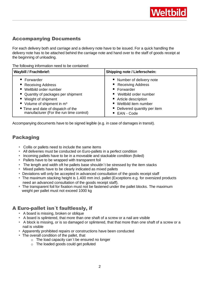# Accompanying Documents

For each delivery both and carriage and a delivery note have to be issued. For a quick handling the delivery note has to be attached behind the carriage note and hand over to the staff of goods receipt at the beginning of unloading.

The following information need to be contained:

| <b>Waybill / Frachtbrief:</b>                       | <b>Shipping note / Lieferschein:</b> |
|-----------------------------------------------------|--------------------------------------|
| ■ Forwarder                                         | ■ Number of delivery note            |
| ■ Receiving Address                                 | <b>Receiving Address</b>             |
| ■ Weltbild order number                             | ■ Forwarder                          |
| ■ Quantity of packages per shipment                 | ■ Weltbild order number              |
| ■ Weight of shipment                                | ■ Article description                |
| $\blacksquare$ Volume of shipment in m <sup>3</sup> | ■ Weltbild item number               |
| ■ Time and date of dispatch of the                  | • Delivered quantity per item        |
| manufacturer (For the run time control)             | ■ EAN - Code                         |

Accompanying documents have to be signed legible (e.g. in case of damages in transit).

## Packaging

- Collis or pallets need to include the same items
- All deliveries must be conducted on Euro-pallets in a perfect condition
- Incoming pallets have to be in a moveable and stackable condition (foiled)
- Pallets have to be wrapped with transparent foil
- The length and width oft he pallets base shouldn't be stressed by the item stacks
- Mixed pallets have to be clearly indicated as mixed pallets
- Deviations will only be accepted in advanced consultation of the goods receipt staff
- The maximum stacking height is 1.400 mm incl. pallet (Exceptions e.g. for oversized products need an advanced consultation of the goods receipt staff).
- The transparent foil for fixation must not be fastened under the pallet blocks. The maximum weight per pallet must not exceed 1000 kg

# A Euro-pallet isn´t faultlessly, if

- A board is missing, broken or oblique
- A board is splintered, that more than one shaft of a screw or a nail are visible
- A block is missing, or is so damaged or splintered, that that more than one shaft of a screw or a nail is visible
- Apparently prohibited repairs or constructions have been conducted
- The overall condition of the pallet, that
	- o The load capacity can´t be ensured no longer
		- o The loaded goods could get polluted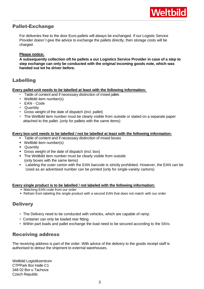

## Pallet-Exchange

For deliveries free to the door Euro-pallets will always be exchanged. If our Logistic Service Provider doesn´t give the advice to exchange the pallets directly, then storage costs will be charged.

#### **Please notice:**

**A subsequently collection oft he pallets a our Logistics Service Provider in case of a step to step exchange can only be conducted with the original incoming goods note, which was handed out tot he driver before.**

## Labelling

#### **Every pallet-unit needs to be labelled at least with the following information:**

- **Table of content and if necessary distinction of mixed pallets**
- Weltbild item number(s)
- EAN Code
- Quantity
- Gross weight of the date of dispatch (incl. pallet)
- The Weltbild item number must be clearly visible from outside or stated on a separate paper attached to the pallet. (only for pallets with the same items)

#### **Every box-unit needs to be labelled / not be labelled at least with the following information:**

- Table of content and if necessary distinction of mixed boxes
- Weltbild item number(s)
- **-** Quantity
- Gross weight of the date of dispatch (incl. box)
- The Weltbild item number must be clearly visible from outside (only boxes with the same items)
- **Labeling the outer carton with the EAN barcode is strictly prohibited. However, the EAN can be** Used as an advertised number can be printed (only for single-variety cartons)

#### **Every single product is to be labelled / not labeled with the following information:**

- Matching EAN code from our order
- **Refrain from labeling the single product with a second EAN that does not match with our order**

# **Delivery**

- The Delivery need to be conducted with vehicles, which are capable of ramp.
- **Container can only be loaded rear fitting.**
- Within part loads and pallet exchange the load need to be secured according to the StVo.

## Receiving address

The receiving address is part of the order. With advice of the delivery to the goods receipt staff is authorised to detour the shipment to external warehouses.

Weltbild Logistikzentrum CTPPark Bor Halle C1 348 02 Bor u Tachova Czech Republic